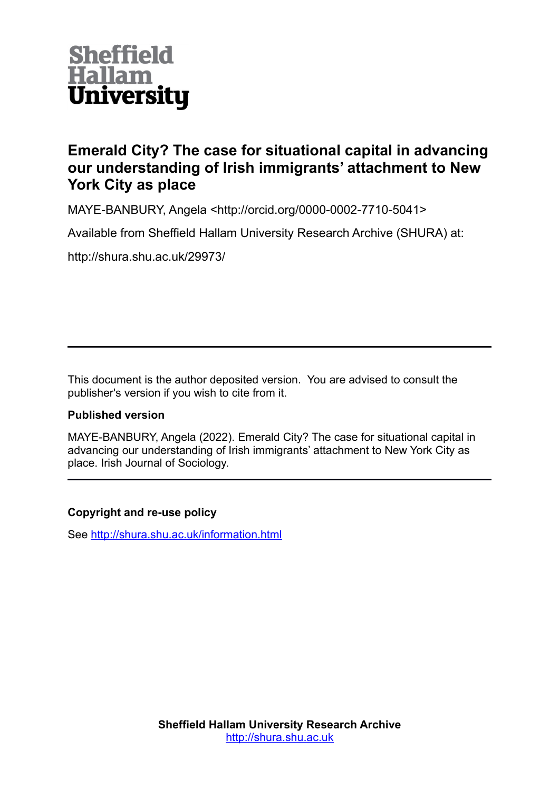

# **Emerald City? The case for situational capital in advancing our understanding of Irish immigrants' attachment to New York City as place**

MAYE-BANBURY, Angela <http://orcid.org/0000-0002-7710-5041>

Available from Sheffield Hallam University Research Archive (SHURA) at:

http://shura.shu.ac.uk/29973/

This document is the author deposited version. You are advised to consult the publisher's version if you wish to cite from it.

## **Published version**

MAYE-BANBURY, Angela (2022). Emerald City? The case for situational capital in advancing our understanding of Irish immigrants' attachment to New York City as place. Irish Journal of Sociology.

## **Copyright and re-use policy**

See<http://shura.shu.ac.uk/information.html>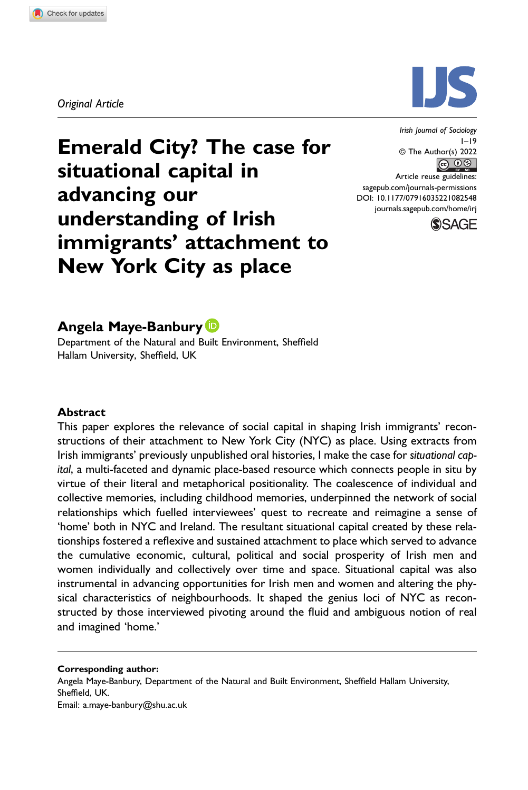Original Article



Emerald City? The case for situational capital in advancing our understanding of Irish immigrants' attachment to New York City as place

 $1-\overline{19}$ © The Author(s) 2022 <u>ெ லெ </u> Article reuse guidelines: [sagepub.com/journals-permissions](https://us.sagepub.com/en-us/journals-permissions) DOI: 10.1177/07916035221082548 [journals.sagepub.com/home/irj](https://journals.sagepub.com/home/irj)



## Angela Maye-Banbury

Department of the Natural and Built Environment, Sheffield Hallam University, Sheffield, UK

#### Abstract

This paper explores the relevance of social capital in shaping Irish immigrants' reconstructions of their attachment to New York City (NYC) as place. Using extracts from Irish immigrants' previously unpublished oral histories, I make the case for situational capital, a multi-faceted and dynamic place-based resource which connects people in situ by virtue of their literal and metaphorical positionality. The coalescence of individual and collective memories, including childhood memories, underpinned the network of social relationships which fuelled interviewees' quest to recreate and reimagine a sense of 'home' both in NYC and Ireland. The resultant situational capital created by these relationships fostered a reflexive and sustained attachment to place which served to advance the cumulative economic, cultural, political and social prosperity of Irish men and women individually and collectively over time and space. Situational capital was also instrumental in advancing opportunities for Irish men and women and altering the physical characteristics of neighbourhoods. It shaped the genius loci of NYC as reconstructed by those interviewed pivoting around the fluid and ambiguous notion of real and imagined 'home.'

#### Corresponding author:

Angela Maye-Banbury, Department of the Natural and Built Environment, Sheffield Hallam University, Sheffield, UK. Email: [a.maye-banbury@shu.ac.uk](mailto:a.maye-banbury@shu.ac.uk)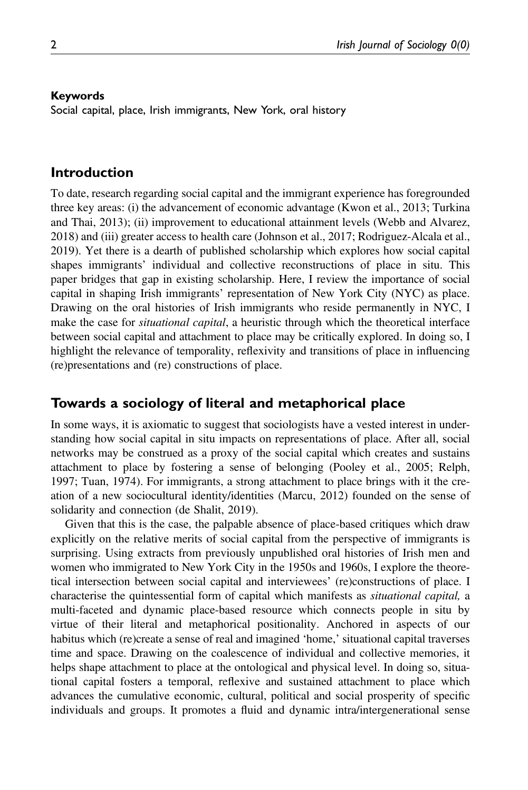#### Keywords

Social capital, place, Irish immigrants, New York, oral history

#### Introduction

To date, research regarding social capital and the immigrant experience has foregrounded three key areas: (i) the advancement of economic advantage (Kwon et al., 2013; Turkina and Thai, 2013); (ii) improvement to educational attainment levels (Webb and Alvarez, 2018) and (iii) greater access to health care (Johnson et al., 2017; Rodriguez-Alcala et al., 2019). Yet there is a dearth of published scholarship which explores how social capital shapes immigrants' individual and collective reconstructions of place in situ. This paper bridges that gap in existing scholarship. Here, I review the importance of social capital in shaping Irish immigrants' representation of New York City (NYC) as place. Drawing on the oral histories of Irish immigrants who reside permanently in NYC, I make the case for *situational capital*, a heuristic through which the theoretical interface between social capital and attachment to place may be critically explored. In doing so, I highlight the relevance of temporality, reflexivity and transitions of place in influencing (re)presentations and (re) constructions of place.

### Towards a sociology of literal and metaphorical place

In some ways, it is axiomatic to suggest that sociologists have a vested interest in understanding how social capital in situ impacts on representations of place. After all, social networks may be construed as a proxy of the social capital which creates and sustains attachment to place by fostering a sense of belonging (Pooley et al., 2005; Relph, 1997; Tuan, 1974). For immigrants, a strong attachment to place brings with it the creation of a new sociocultural identity/identities (Marcu, 2012) founded on the sense of solidarity and connection (de Shalit, 2019).

Given that this is the case, the palpable absence of place-based critiques which draw explicitly on the relative merits of social capital from the perspective of immigrants is surprising. Using extracts from previously unpublished oral histories of Irish men and women who immigrated to New York City in the 1950s and 1960s, I explore the theoretical intersection between social capital and interviewees' (re)constructions of place. I characterise the quintessential form of capital which manifests as situational capital, a multi-faceted and dynamic place-based resource which connects people in situ by virtue of their literal and metaphorical positionality. Anchored in aspects of our habitus which (re)create a sense of real and imagined 'home,' situational capital traverses time and space. Drawing on the coalescence of individual and collective memories, it helps shape attachment to place at the ontological and physical level. In doing so, situational capital fosters a temporal, reflexive and sustained attachment to place which advances the cumulative economic, cultural, political and social prosperity of specific individuals and groups. It promotes a fluid and dynamic intra/intergenerational sense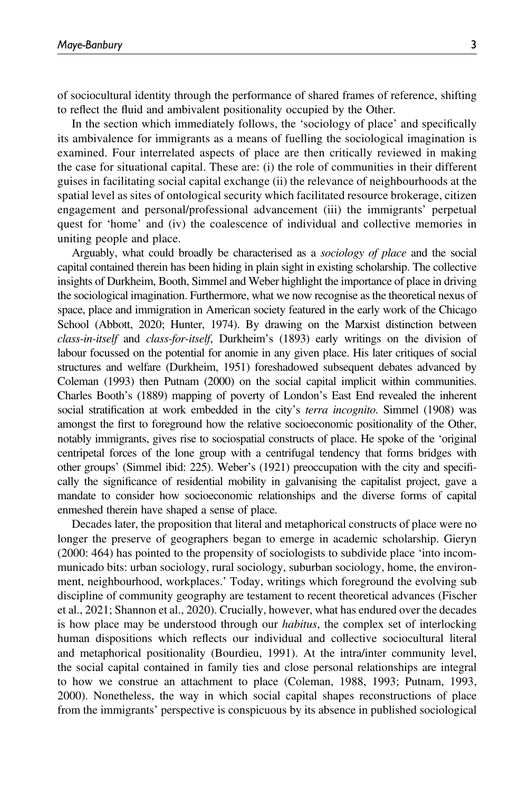of sociocultural identity through the performance of shared frames of reference, shifting to reflect the fluid and ambivalent positionality occupied by the Other.

In the section which immediately follows, the 'sociology of place' and specifically its ambivalence for immigrants as a means of fuelling the sociological imagination is examined. Four interrelated aspects of place are then critically reviewed in making the case for situational capital. These are: (i) the role of communities in their different guises in facilitating social capital exchange (ii) the relevance of neighbourhoods at the spatial level as sites of ontological security which facilitated resource brokerage, citizen engagement and personal/professional advancement (iii) the immigrants' perpetual quest for 'home' and (iv) the coalescence of individual and collective memories in uniting people and place.

Arguably, what could broadly be characterised as a sociology of place and the social capital contained therein has been hiding in plain sight in existing scholarship. The collective insights of Durkheim, Booth, Simmel and Weber highlight the importance of place in driving the sociological imagination. Furthermore, what we now recognise as the theoretical nexus of space, place and immigration in American society featured in the early work of the Chicago School (Abbott, 2020; Hunter, 1974). By drawing on the Marxist distinction between class-in-itself and class-for-itself, Durkheim's (1893) early writings on the division of labour focussed on the potential for anomie in any given place. His later critiques of social structures and welfare (Durkheim, 1951) foreshadowed subsequent debates advanced by Coleman (1993) then Putnam (2000) on the social capital implicit within communities. Charles Booth's (1889) mapping of poverty of London's East End revealed the inherent social stratification at work embedded in the city's *terra incognito*. Simmel (1908) was amongst the first to foreground how the relative socioeconomic positionality of the Other, notably immigrants, gives rise to sociospatial constructs of place. He spoke of the 'original centripetal forces of the lone group with a centrifugal tendency that forms bridges with other groups' (Simmel ibid: 225). Weber's (1921) preoccupation with the city and specifically the significance of residential mobility in galvanising the capitalist project, gave a mandate to consider how socioeconomic relationships and the diverse forms of capital enmeshed therein have shaped a sense of place.

Decades later, the proposition that literal and metaphorical constructs of place were no longer the preserve of geographers began to emerge in academic scholarship. Gieryn (2000: 464) has pointed to the propensity of sociologists to subdivide place 'into incommunicado bits: urban sociology, rural sociology, suburban sociology, home, the environment, neighbourhood, workplaces.' Today, writings which foreground the evolving sub discipline of community geography are testament to recent theoretical advances (Fischer et al., 2021; Shannon et al., 2020). Crucially, however, what has endured over the decades is how place may be understood through our habitus, the complex set of interlocking human dispositions which reflects our individual and collective sociocultural literal and metaphorical positionality (Bourdieu, 1991). At the intra/inter community level, the social capital contained in family ties and close personal relationships are integral to how we construe an attachment to place (Coleman, 1988, 1993; Putnam, 1993, 2000). Nonetheless, the way in which social capital shapes reconstructions of place from the immigrants' perspective is conspicuous by its absence in published sociological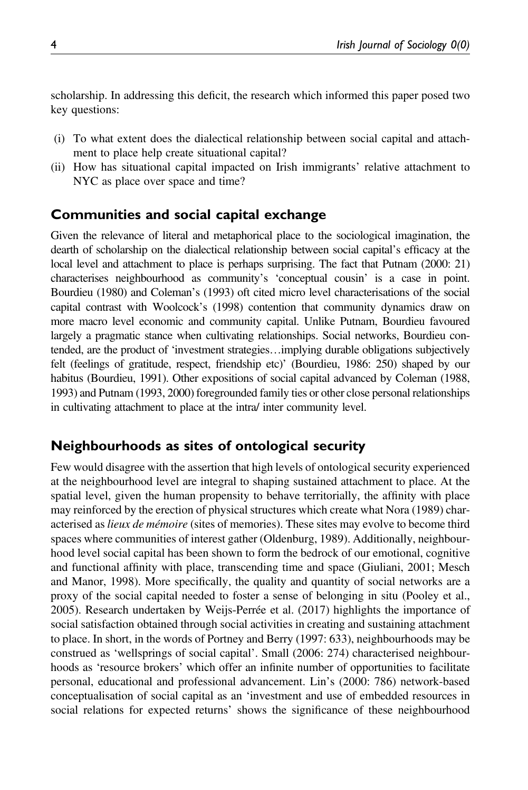scholarship. In addressing this deficit, the research which informed this paper posed two key questions:

- (i) To what extent does the dialectical relationship between social capital and attachment to place help create situational capital?
- (ii) How has situational capital impacted on Irish immigrants' relative attachment to NYC as place over space and time?

### Communities and social capital exchange

Given the relevance of literal and metaphorical place to the sociological imagination, the dearth of scholarship on the dialectical relationship between social capital's efficacy at the local level and attachment to place is perhaps surprising. The fact that Putnam (2000: 21) characterises neighbourhood as community's 'conceptual cousin' is a case in point. Bourdieu (1980) and Coleman's (1993) oft cited micro level characterisations of the social capital contrast with Woolcock's (1998) contention that community dynamics draw on more macro level economic and community capital. Unlike Putnam, Bourdieu favoured largely a pragmatic stance when cultivating relationships. Social networks, Bourdieu contended, are the product of 'investment strategies…implying durable obligations subjectively felt (feelings of gratitude, respect, friendship etc)' (Bourdieu, 1986: 250) shaped by our habitus (Bourdieu, 1991). Other expositions of social capital advanced by Coleman (1988, 1993) and Putnam (1993, 2000) foregrounded family ties or other close personal relationships in cultivating attachment to place at the intra/ inter community level.

### Neighbourhoods as sites of ontological security

Few would disagree with the assertion that high levels of ontological security experienced at the neighbourhood level are integral to shaping sustained attachment to place. At the spatial level, given the human propensity to behave territorially, the affinity with place may reinforced by the erection of physical structures which create what Nora (1989) characterised as *lieux de mémoire* (sites of memories). These sites may evolve to become third spaces where communities of interest gather (Oldenburg, 1989). Additionally, neighbourhood level social capital has been shown to form the bedrock of our emotional, cognitive and functional affinity with place, transcending time and space (Giuliani, 2001; Mesch and Manor, 1998). More specifically, the quality and quantity of social networks are a proxy of the social capital needed to foster a sense of belonging in situ (Pooley et al., 2005). Research undertaken by Weijs-Perrée et al. (2017) highlights the importance of social satisfaction obtained through social activities in creating and sustaining attachment to place. In short, in the words of Portney and Berry (1997: 633), neighbourhoods may be construed as 'wellsprings of social capital'. Small (2006: 274) characterised neighbourhoods as 'resource brokers' which offer an infinite number of opportunities to facilitate personal, educational and professional advancement. Lin's (2000: 786) network-based conceptualisation of social capital as an 'investment and use of embedded resources in social relations for expected returns' shows the significance of these neighbourhood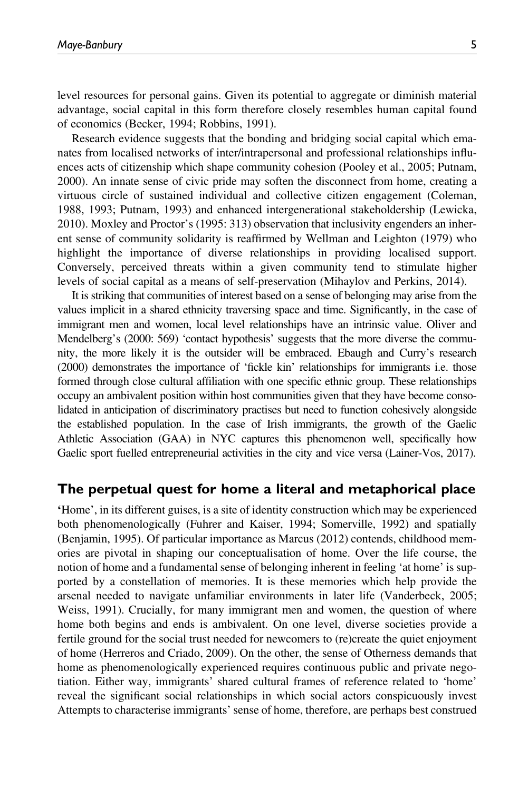level resources for personal gains. Given its potential to aggregate or diminish material advantage, social capital in this form therefore closely resembles human capital found of economics (Becker, 1994; Robbins, 1991).

Research evidence suggests that the bonding and bridging social capital which emanates from localised networks of inter/intrapersonal and professional relationships influences acts of citizenship which shape community cohesion (Pooley et al., 2005; Putnam, 2000). An innate sense of civic pride may soften the disconnect from home, creating a virtuous circle of sustained individual and collective citizen engagement (Coleman, 1988, 1993; Putnam, 1993) and enhanced intergenerational stakeholdership (Lewicka, 2010). Moxley and Proctor's (1995: 313) observation that inclusivity engenders an inherent sense of community solidarity is reaffirmed by Wellman and Leighton (1979) who highlight the importance of diverse relationships in providing localised support. Conversely, perceived threats within a given community tend to stimulate higher levels of social capital as a means of self-preservation (Mihaylov and Perkins, 2014).

It is striking that communities of interest based on a sense of belonging may arise from the values implicit in a shared ethnicity traversing space and time. Significantly, in the case of immigrant men and women, local level relationships have an intrinsic value. Oliver and Mendelberg's (2000: 569) 'contact hypothesis' suggests that the more diverse the community, the more likely it is the outsider will be embraced. Ebaugh and Curry's research (2000) demonstrates the importance of 'fickle kin' relationships for immigrants i.e. those formed through close cultural affiliation with one specific ethnic group. These relationships occupy an ambivalent position within host communities given that they have become consolidated in anticipation of discriminatory practises but need to function cohesively alongside the established population. In the case of Irish immigrants, the growth of the Gaelic Athletic Association (GAA) in NYC captures this phenomenon well, specifically how Gaelic sport fuelled entrepreneurial activities in the city and vice versa (Lainer-Vos, 2017).

#### The perpetual quest for home a literal and metaphorical place

'Home', in its different guises, is a site of identity construction which may be experienced both phenomenologically (Fuhrer and Kaiser, 1994; Somerville, 1992) and spatially (Benjamin, 1995). Of particular importance as Marcus (2012) contends, childhood memories are pivotal in shaping our conceptualisation of home. Over the life course, the notion of home and a fundamental sense of belonging inherent in feeling 'at home' is supported by a constellation of memories. It is these memories which help provide the arsenal needed to navigate unfamiliar environments in later life (Vanderbeck, 2005; Weiss, 1991). Crucially, for many immigrant men and women, the question of where home both begins and ends is ambivalent. On one level, diverse societies provide a fertile ground for the social trust needed for newcomers to (re)create the quiet enjoyment of home (Herreros and Criado, 2009). On the other, the sense of Otherness demands that home as phenomenologically experienced requires continuous public and private negotiation. Either way, immigrants' shared cultural frames of reference related to 'home' reveal the significant social relationships in which social actors conspicuously invest Attempts to characterise immigrants' sense of home, therefore, are perhaps best construed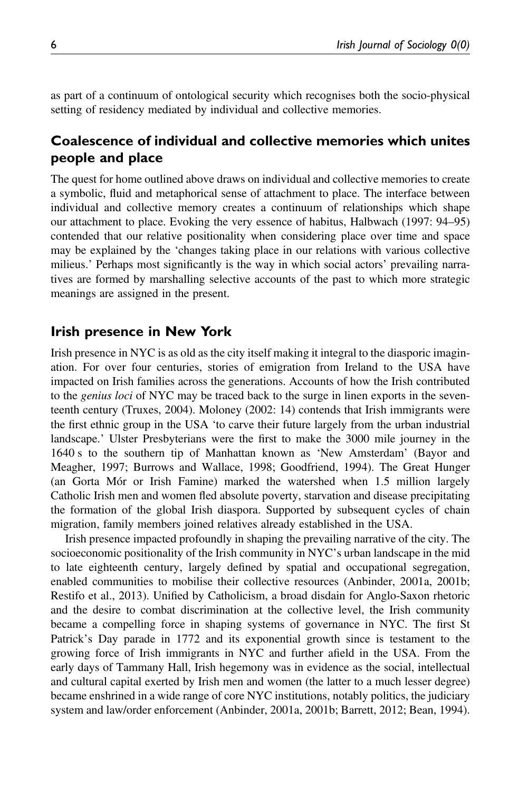as part of a continuum of ontological security which recognises both the socio-physical setting of residency mediated by individual and collective memories.

## Coalescence of individual and collective memories which unites people and place

The quest for home outlined above draws on individual and collective memories to create a symbolic, fluid and metaphorical sense of attachment to place. The interface between individual and collective memory creates a continuum of relationships which shape our attachment to place. Evoking the very essence of habitus, Halbwach (1997: 94–95) contended that our relative positionality when considering place over time and space may be explained by the 'changes taking place in our relations with various collective milieus.' Perhaps most significantly is the way in which social actors' prevailing narratives are formed by marshalling selective accounts of the past to which more strategic meanings are assigned in the present.

### Irish presence in New York

Irish presence in NYC is as old as the city itself making it integral to the diasporic imagination. For over four centuries, stories of emigration from Ireland to the USA have impacted on Irish families across the generations. Accounts of how the Irish contributed to the *genius loci* of NYC may be traced back to the surge in linen exports in the seventeenth century (Truxes, 2004). Moloney (2002: 14) contends that Irish immigrants were the first ethnic group in the USA 'to carve their future largely from the urban industrial landscape.' Ulster Presbyterians were the first to make the 3000 mile journey in the 1640 s to the southern tip of Manhattan known as 'New Amsterdam' (Bayor and Meagher, 1997; Burrows and Wallace, 1998; Goodfriend, 1994). The Great Hunger (an Gorta Mór or Irish Famine) marked the watershed when 1.5 million largely Catholic Irish men and women fled absolute poverty, starvation and disease precipitating the formation of the global Irish diaspora. Supported by subsequent cycles of chain migration, family members joined relatives already established in the USA.

Irish presence impacted profoundly in shaping the prevailing narrative of the city. The socioeconomic positionality of the Irish community in NYC's urban landscape in the mid to late eighteenth century, largely defined by spatial and occupational segregation, enabled communities to mobilise their collective resources (Anbinder, 2001a, 2001b; Restifo et al., 2013). Unified by Catholicism, a broad disdain for Anglo-Saxon rhetoric and the desire to combat discrimination at the collective level, the Irish community became a compelling force in shaping systems of governance in NYC. The first St Patrick's Day parade in 1772 and its exponential growth since is testament to the growing force of Irish immigrants in NYC and further afield in the USA. From the early days of Tammany Hall, Irish hegemony was in evidence as the social, intellectual and cultural capital exerted by Irish men and women (the latter to a much lesser degree) became enshrined in a wide range of core NYC institutions, notably politics, the judiciary system and law/order enforcement (Anbinder, 2001a, 2001b; Barrett, 2012; Bean, 1994).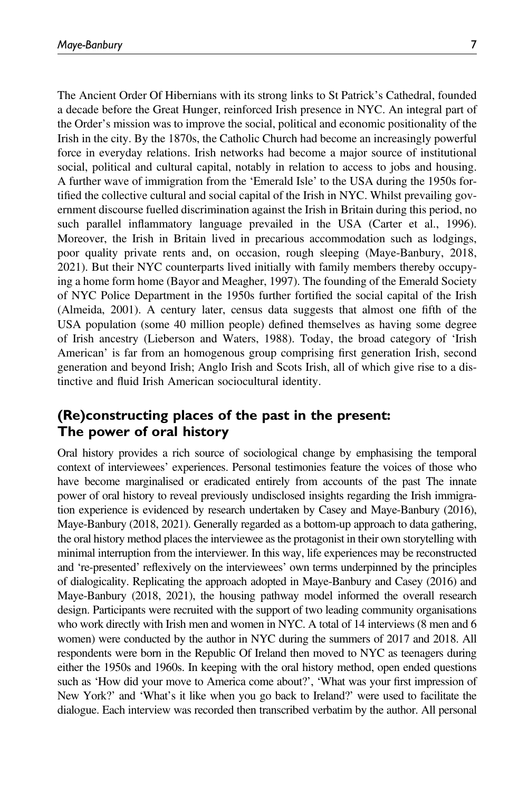The Ancient Order Of Hibernians with its strong links to St Patrick's Cathedral, founded a decade before the Great Hunger, reinforced Irish presence in NYC. An integral part of the Order's mission was to improve the social, political and economic positionality of the Irish in the city. By the 1870s, the Catholic Church had become an increasingly powerful force in everyday relations. Irish networks had become a major source of institutional social, political and cultural capital, notably in relation to access to jobs and housing. A further wave of immigration from the 'Emerald Isle' to the USA during the 1950s fortified the collective cultural and social capital of the Irish in NYC. Whilst prevailing government discourse fuelled discrimination against the Irish in Britain during this period, no such parallel inflammatory language prevailed in the USA (Carter et al., 1996). Moreover, the Irish in Britain lived in precarious accommodation such as lodgings, poor quality private rents and, on occasion, rough sleeping (Maye-Banbury, 2018, 2021). But their NYC counterparts lived initially with family members thereby occupying a home form home (Bayor and Meagher, 1997). The founding of the Emerald Society of NYC Police Department in the 1950s further fortified the social capital of the Irish (Almeida, 2001). A century later, census data suggests that almost one fifth of the USA population (some 40 million people) defined themselves as having some degree of Irish ancestry (Lieberson and Waters, 1988). Today, the broad category of 'Irish American' is far from an homogenous group comprising first generation Irish, second generation and beyond Irish; Anglo Irish and Scots Irish, all of which give rise to a distinctive and fluid Irish American sociocultural identity.

## (Re)constructing places of the past in the present: The power of oral history

Oral history provides a rich source of sociological change by emphasising the temporal context of interviewees' experiences. Personal testimonies feature the voices of those who have become marginalised or eradicated entirely from accounts of the past The innate power of oral history to reveal previously undisclosed insights regarding the Irish immigration experience is evidenced by research undertaken by Casey and Maye-Banbury (2016), Maye-Banbury (2018, 2021). Generally regarded as a bottom-up approach to data gathering, the oral history method places the interviewee as the protagonist in their own storytelling with minimal interruption from the interviewer. In this way, life experiences may be reconstructed and 're-presented' reflexively on the interviewees' own terms underpinned by the principles of dialogicality. Replicating the approach adopted in Maye-Banbury and Casey (2016) and Maye-Banbury (2018, 2021), the housing pathway model informed the overall research design. Participants were recruited with the support of two leading community organisations who work directly with Irish men and women in NYC. A total of 14 interviews (8 men and 6 women) were conducted by the author in NYC during the summers of 2017 and 2018. All respondents were born in the Republic Of Ireland then moved to NYC as teenagers during either the 1950s and 1960s. In keeping with the oral history method, open ended questions such as 'How did your move to America come about?', 'What was your first impression of New York?' and 'What's it like when you go back to Ireland?' were used to facilitate the dialogue. Each interview was recorded then transcribed verbatim by the author. All personal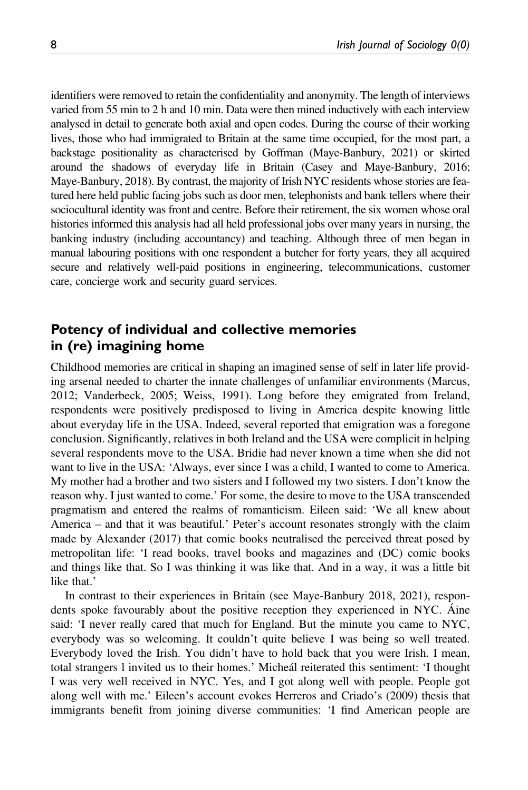identifiers were removed to retain the confidentiality and anonymity. The length of interviews varied from 55 min to 2 h and 10 min. Data were then mined inductively with each interview analysed in detail to generate both axial and open codes. During the course of their working lives, those who had immigrated to Britain at the same time occupied, for the most part, a backstage positionality as characterised by Goffman (Maye-Banbury, 2021) or skirted around the shadows of everyday life in Britain (Casey and Maye-Banbury, 2016; Maye-Banbury, 2018). By contrast, the majority of Irish NYC residents whose stories are featured here held public facing jobs such as door men, telephonists and bank tellers where their sociocultural identity was front and centre. Before their retirement, the six women whose oral histories informed this analysis had all held professional jobs over many years in nursing, the banking industry (including accountancy) and teaching. Although three of men began in manual labouring positions with one respondent a butcher for forty years, they all acquired secure and relatively well-paid positions in engineering, telecommunications, customer care, concierge work and security guard services.

## Potency of individual and collective memories in (re) imagining home

Childhood memories are critical in shaping an imagined sense of self in later life providing arsenal needed to charter the innate challenges of unfamiliar environments (Marcus, 2012; Vanderbeck, 2005; Weiss, 1991). Long before they emigrated from Ireland, respondents were positively predisposed to living in America despite knowing little about everyday life in the USA. Indeed, several reported that emigration was a foregone conclusion. Significantly, relatives in both Ireland and the USA were complicit in helping several respondents move to the USA. Bridie had never known a time when she did not want to live in the USA: 'Always, ever since I was a child, I wanted to come to America. My mother had a brother and two sisters and I followed my two sisters. I don't know the reason why. I just wanted to come.' For some, the desire to move to the USA transcended pragmatism and entered the realms of romanticism. Eileen said: 'We all knew about America – and that it was beautiful.' Peter's account resonates strongly with the claim made by Alexander (2017) that comic books neutralised the perceived threat posed by metropolitan life: 'I read books, travel books and magazines and (DC) comic books and things like that. So I was thinking it was like that. And in a way, it was a little bit like that.'

In contrast to their experiences in Britain (see Maye-Banbury 2018, 2021), respondents spoke favourably about the positive reception they experienced in NYC. Áine said: 'I never really cared that much for England. But the minute you came to NYC, everybody was so welcoming. It couldn't quite believe I was being so well treated. Everybody loved the Irish. You didn't have to hold back that you were Irish. I mean, total strangers l invited us to their homes.' Micheál reiterated this sentiment: 'I thought I was very well received in NYC. Yes, and I got along well with people. People got along well with me.' Eileen's account evokes Herreros and Criado's (2009) thesis that immigrants benefit from joining diverse communities: 'I find American people are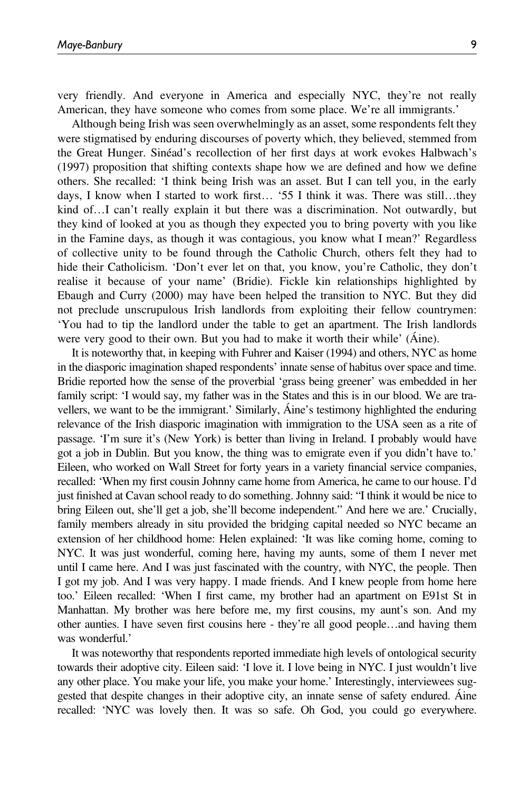very friendly. And everyone in America and especially NYC, they're not really American, they have someone who comes from some place. We're all immigrants.'

Although being Irish was seen overwhelmingly as an asset, some respondents felt they were stigmatised by enduring discourses of poverty which, they believed, stemmed from the Great Hunger. Sinéad's recollection of her first days at work evokes Halbwach's (1997) proposition that shifting contexts shape how we are defined and how we define others. She recalled: 'I think being Irish was an asset. But I can tell you, in the early days, I know when I started to work first… '55 I think it was. There was still…they kind of…I can't really explain it but there was a discrimination. Not outwardly, but they kind of looked at you as though they expected you to bring poverty with you like in the Famine days, as though it was contagious, you know what I mean?' Regardless of collective unity to be found through the Catholic Church, others felt they had to hide their Catholicism. 'Don't ever let on that, you know, you're Catholic, they don't realise it because of your name' (Bridie). Fickle kin relationships highlighted by Ebaugh and Curry (2000) may have been helped the transition to NYC. But they did not preclude unscrupulous Irish landlords from exploiting their fellow countrymen: 'You had to tip the landlord under the table to get an apartment. The Irish landlords were very good to their own. But you had to make it worth their while' (Áine).

It is noteworthy that, in keeping with Fuhrer and Kaiser (1994) and others, NYC as home in the diasporic imagination shaped respondents' innate sense of habitus over space and time. Bridie reported how the sense of the proverbial 'grass being greener' was embedded in her family script: 'I would say, my father was in the States and this is in our blood. We are travellers, we want to be the immigrant.' Similarly, Áine's testimony highlighted the enduring relevance of the Irish diasporic imagination with immigration to the USA seen as a rite of passage. 'I'm sure it's (New York) is better than living in Ireland. I probably would have got a job in Dublin. But you know, the thing was to emigrate even if you didn't have to.' Eileen, who worked on Wall Street for forty years in a variety financial service companies, recalled: 'When my first cousin Johnny came home from America, he came to our house. I'd just finished at Cavan school ready to do something. Johnny said: "I think it would be nice to bring Eileen out, she'll get a job, she'll become independent." And here we are.' Crucially, family members already in situ provided the bridging capital needed so NYC became an extension of her childhood home: Helen explained: 'It was like coming home, coming to NYC. It was just wonderful, coming here, having my aunts, some of them I never met until I came here. And I was just fascinated with the country, with NYC, the people. Then I got my job. And I was very happy. I made friends. And I knew people from home here too.' Eileen recalled: 'When I first came, my brother had an apartment on E91st St in Manhattan. My brother was here before me, my first cousins, my aunt's son. And my other aunties. I have seven first cousins here - they're all good people…and having them was wonderful.'

It was noteworthy that respondents reported immediate high levels of ontological security towards their adoptive city. Eileen said: 'I love it. I love being in NYC. I just wouldn't live any other place. You make your life, you make your home.' Interestingly, interviewees suggested that despite changes in their adoptive city, an innate sense of safety endured. Áine recalled: 'NYC was lovely then. It was so safe. Oh God, you could go everywhere.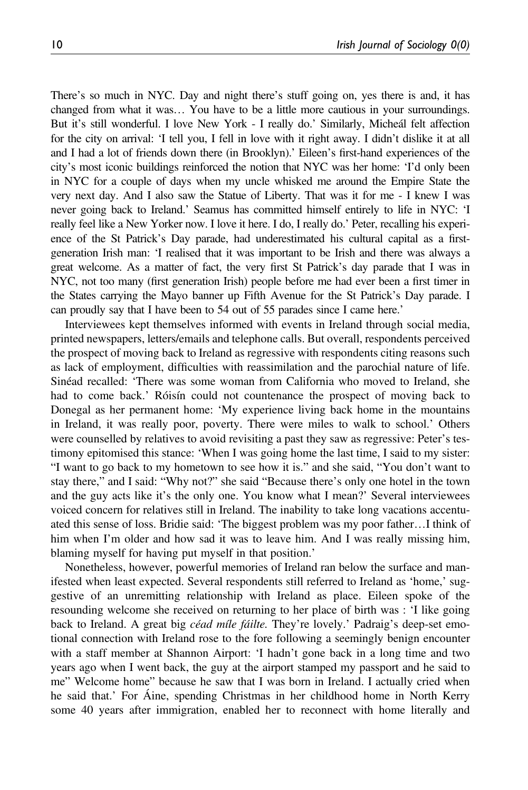There's so much in NYC. Day and night there's stuff going on, yes there is and, it has changed from what it was… You have to be a little more cautious in your surroundings. But it's still wonderful. I love New York - I really do.' Similarly, Micheál felt affection for the city on arrival: 'I tell you, I fell in love with it right away. I didn't dislike it at all and I had a lot of friends down there (in Brooklyn).' Eileen's first-hand experiences of the city's most iconic buildings reinforced the notion that NYC was her home: 'I'd only been in NYC for a couple of days when my uncle whisked me around the Empire State the very next day. And I also saw the Statue of Liberty. That was it for me - I knew I was never going back to Ireland.' Seamus has committed himself entirely to life in NYC: 'I really feel like a New Yorker now. I love it here. I do, I really do.' Peter, recalling his experience of the St Patrick's Day parade, had underestimated his cultural capital as a firstgeneration Irish man: 'I realised that it was important to be Irish and there was always a great welcome. As a matter of fact, the very first St Patrick's day parade that I was in NYC, not too many (first generation Irish) people before me had ever been a first timer in the States carrying the Mayo banner up Fifth Avenue for the St Patrick's Day parade. I can proudly say that I have been to 54 out of 55 parades since I came here.'

Interviewees kept themselves informed with events in Ireland through social media, printed newspapers, letters/emails and telephone calls. But overall, respondents perceived the prospect of moving back to Ireland as regressive with respondents citing reasons such as lack of employment, difficulties with reassimilation and the parochial nature of life. Sinéad recalled: 'There was some woman from California who moved to Ireland, she had to come back.' Róisín could not countenance the prospect of moving back to Donegal as her permanent home: 'My experience living back home in the mountains in Ireland, it was really poor, poverty. There were miles to walk to school.' Others were counselled by relatives to avoid revisiting a past they saw as regressive: Peter's testimony epitomised this stance: 'When I was going home the last time, I said to my sister: "I want to go back to my hometown to see how it is." and she said, "You don't want to stay there," and I said: "Why not?" she said "Because there's only one hotel in the town and the guy acts like it's the only one. You know what I mean?' Several interviewees voiced concern for relatives still in Ireland. The inability to take long vacations accentuated this sense of loss. Bridie said: 'The biggest problem was my poor father…I think of him when I'm older and how sad it was to leave him. And I was really missing him, blaming myself for having put myself in that position.'

Nonetheless, however, powerful memories of Ireland ran below the surface and manifested when least expected. Several respondents still referred to Ireland as 'home,' suggestive of an unremitting relationship with Ireland as place. Eileen spoke of the resounding welcome she received on returning to her place of birth was : 'I like going back to Ireland. A great big céad míle fáilte. They're lovely.' Padraig's deep-set emotional connection with Ireland rose to the fore following a seemingly benign encounter with a staff member at Shannon Airport: 'I hadn't gone back in a long time and two years ago when I went back, the guy at the airport stamped my passport and he said to me" Welcome home" because he saw that I was born in Ireland. I actually cried when he said that.' For Áine, spending Christmas in her childhood home in North Kerry some 40 years after immigration, enabled her to reconnect with home literally and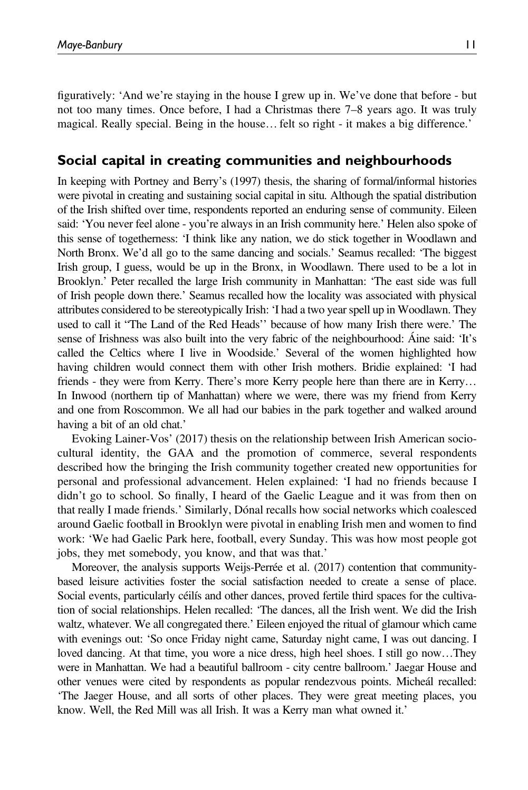figuratively: 'And we're staying in the house I grew up in. We've done that before - but not too many times. Once before, I had a Christmas there 7–8 years ago. It was truly magical. Really special. Being in the house… felt so right - it makes a big difference.'

#### Social capital in creating communities and neighbourhoods

In keeping with Portney and Berry's (1997) thesis, the sharing of formal/informal histories were pivotal in creating and sustaining social capital in situ. Although the spatial distribution of the Irish shifted over time, respondents reported an enduring sense of community. Eileen said: 'You never feel alone - you're always in an Irish community here.' Helen also spoke of this sense of togetherness: 'I think like any nation, we do stick together in Woodlawn and North Bronx. We'd all go to the same dancing and socials.' Seamus recalled: 'The biggest Irish group, I guess, would be up in the Bronx, in Woodlawn. There used to be a lot in Brooklyn.' Peter recalled the large Irish community in Manhattan: 'The east side was full of Irish people down there.' Seamus recalled how the locality was associated with physical attributes considered to be stereotypically Irish: 'I had a two year spell up in Woodlawn. They used to call it "The Land of the Red Heads'' because of how many Irish there were.' The sense of Irishness was also built into the very fabric of the neighbourhood: Áine said: 'It's called the Celtics where I live in Woodside.' Several of the women highlighted how having children would connect them with other Irish mothers. Bridie explained: 'I had friends - they were from Kerry. There's more Kerry people here than there are in Kerry… In Inwood (northern tip of Manhattan) where we were, there was my friend from Kerry and one from Roscommon. We all had our babies in the park together and walked around having a bit of an old chat.'

Evoking Lainer-Vos' (2017) thesis on the relationship between Irish American sociocultural identity, the GAA and the promotion of commerce, several respondents described how the bringing the Irish community together created new opportunities for personal and professional advancement. Helen explained: 'I had no friends because I didn't go to school. So finally, I heard of the Gaelic League and it was from then on that really I made friends.' Similarly, Dónal recalls how social networks which coalesced around Gaelic football in Brooklyn were pivotal in enabling Irish men and women to find work: 'We had Gaelic Park here, football, every Sunday. This was how most people got jobs, they met somebody, you know, and that was that.'

Moreover, the analysis supports Weijs-Perrée et al. (2017) contention that communitybased leisure activities foster the social satisfaction needed to create a sense of place. Social events, particularly céilís and other dances, proved fertile third spaces for the cultivation of social relationships. Helen recalled: 'The dances, all the Irish went. We did the Irish waltz, whatever. We all congregated there.' Eileen enjoyed the ritual of glamour which came with evenings out: 'So once Friday night came, Saturday night came, I was out dancing. I loved dancing. At that time, you wore a nice dress, high heel shoes. I still go now…They were in Manhattan. We had a beautiful ballroom - city centre ballroom.' Jaegar House and other venues were cited by respondents as popular rendezvous points. Micheál recalled: 'The Jaeger House, and all sorts of other places. They were great meeting places, you know. Well, the Red Mill was all Irish. It was a Kerry man what owned it.'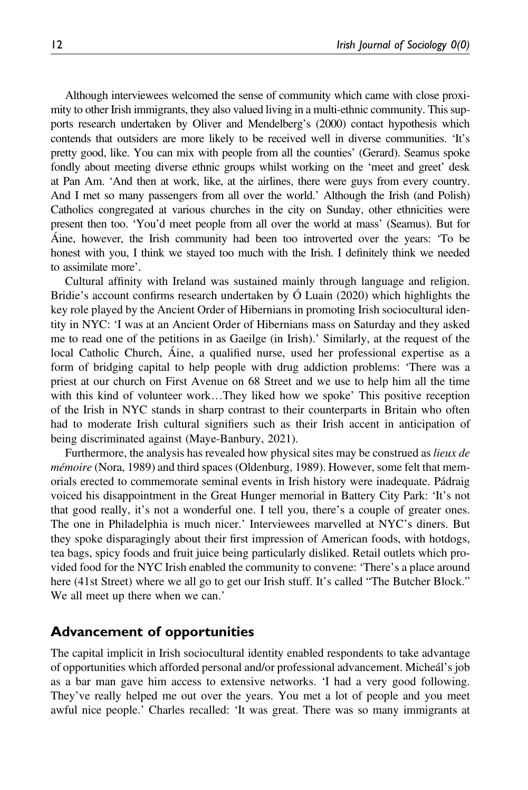Although interviewees welcomed the sense of community which came with close proximity to other Irish immigrants, they also valued living in a multi-ethnic community. This supports research undertaken by Oliver and Mendelberg's (2000) contact hypothesis which contends that outsiders are more likely to be received well in diverse communities. 'It's pretty good, like. You can mix with people from all the counties' (Gerard). Seamus spoke fondly about meeting diverse ethnic groups whilst working on the 'meet and greet' desk at Pan Am. 'And then at work, like, at the airlines, there were guys from every country. And I met so many passengers from all over the world.' Although the Irish (and Polish) Catholics congregated at various churches in the city on Sunday, other ethnicities were present then too. 'You'd meet people from all over the world at mass' (Seamus). But for Áine, however, the Irish community had been too introverted over the years: 'To be honest with you, I think we stayed too much with the Irish. I definitely think we needed to assimilate more'.

Cultural affinity with Ireland was sustained mainly through language and religion. Bridie's account confirms research undertaken by Ó Luain (2020) which highlights the key role played by the Ancient Order of Hibernians in promoting Irish sociocultural identity in NYC: 'I was at an Ancient Order of Hibernians mass on Saturday and they asked me to read one of the petitions in as Gaeilge (in Irish).' Similarly, at the request of the local Catholic Church, Áine, a qualified nurse, used her professional expertise as a form of bridging capital to help people with drug addiction problems: 'There was a priest at our church on First Avenue on 68 Street and we use to help him all the time with this kind of volunteer work…They liked how we spoke' This positive reception of the Irish in NYC stands in sharp contrast to their counterparts in Britain who often had to moderate Irish cultural signifiers such as their Irish accent in anticipation of being discriminated against (Maye-Banbury, 2021).

Furthermore, the analysis has revealed how physical sites may be construed as *lieux de* mémoire (Nora, 1989) and third spaces (Oldenburg, 1989). However, some felt that memorials erected to commemorate seminal events in Irish history were inadequate. Pádraig voiced his disappointment in the Great Hunger memorial in Battery City Park: 'It's not that good really, it's not a wonderful one. I tell you, there's a couple of greater ones. The one in Philadelphia is much nicer.' Interviewees marvelled at NYC's diners. But they spoke disparagingly about their first impression of American foods, with hotdogs, tea bags, spicy foods and fruit juice being particularly disliked. Retail outlets which provided food for the NYC Irish enabled the community to convene: 'There's a place around here (41st Street) where we all go to get our Irish stuff. It's called "The Butcher Block." We all meet up there when we can.'

#### Advancement of opportunities

The capital implicit in Irish sociocultural identity enabled respondents to take advantage of opportunities which afforded personal and/or professional advancement. Micheál's job as a bar man gave him access to extensive networks. 'I had a very good following. They've really helped me out over the years. You met a lot of people and you meet awful nice people.' Charles recalled: 'It was great. There was so many immigrants at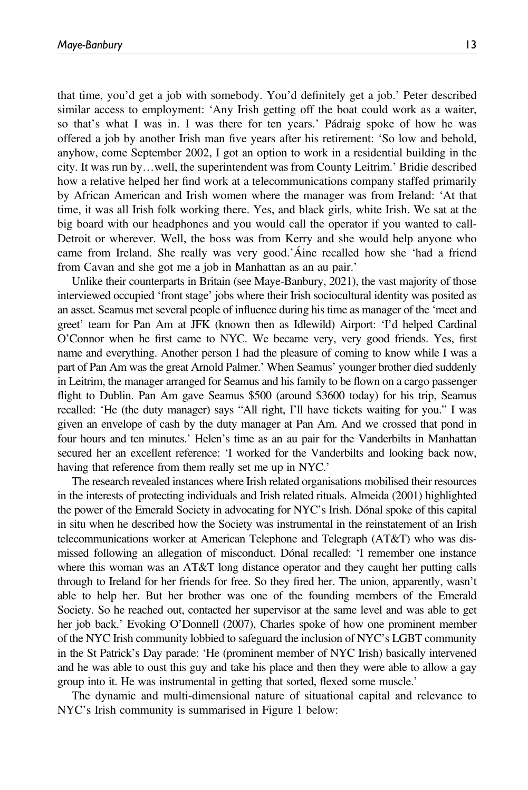that time, you'd get a job with somebody. You'd definitely get a job.' Peter described similar access to employment: 'Any Irish getting off the boat could work as a waiter, so that's what I was in. I was there for ten years.' Pádraig spoke of how he was offered a job by another Irish man five years after his retirement: 'So low and behold, anyhow, come September 2002, I got an option to work in a residential building in the city. It was run by…well, the superintendent was from County Leitrim.' Bridie described how a relative helped her find work at a telecommunications company staffed primarily by African American and Irish women where the manager was from Ireland: 'At that time, it was all Irish folk working there. Yes, and black girls, white Irish. We sat at the big board with our headphones and you would call the operator if you wanted to call-Detroit or wherever. Well, the boss was from Kerry and she would help anyone who came from Ireland. She really was very good.'Áine recalled how she 'had a friend from Cavan and she got me a job in Manhattan as an au pair.'

Unlike their counterparts in Britain (see Maye-Banbury, 2021), the vast majority of those interviewed occupied 'front stage' jobs where their Irish sociocultural identity was posited as an asset. Seamus met several people of influence during his time as manager of the 'meet and greet' team for Pan Am at JFK (known then as Idlewild) Airport: 'I'd helped Cardinal O'Connor when he first came to NYC. We became very, very good friends. Yes, first name and everything. Another person I had the pleasure of coming to know while I was a part of Pan Am was the great Arnold Palmer.' When Seamus' younger brother died suddenly in Leitrim, the manager arranged for Seamus and his family to be flown on a cargo passenger flight to Dublin. Pan Am gave Seamus \$500 (around \$3600 today) for his trip, Seamus recalled: 'He (the duty manager) says "All right, I'll have tickets waiting for you." I was given an envelope of cash by the duty manager at Pan Am. And we crossed that pond in four hours and ten minutes.' Helen's time as an au pair for the Vanderbilts in Manhattan secured her an excellent reference: 'I worked for the Vanderbilts and looking back now, having that reference from them really set me up in NYC.'

The research revealed instances where Irish related organisations mobilised their resources in the interests of protecting individuals and Irish related rituals. Almeida (2001) highlighted the power of the Emerald Society in advocating for NYC's Irish. Dónal spoke of this capital in situ when he described how the Society was instrumental in the reinstatement of an Irish telecommunications worker at American Telephone and Telegraph (AT&T) who was dismissed following an allegation of misconduct. Dónal recalled: 'I remember one instance where this woman was an AT&T long distance operator and they caught her putting calls through to Ireland for her friends for free. So they fired her. The union, apparently, wasn't able to help her. But her brother was one of the founding members of the Emerald Society. So he reached out, contacted her supervisor at the same level and was able to get her job back.' Evoking O'Donnell (2007), Charles spoke of how one prominent member of the NYC Irish community lobbied to safeguard the inclusion of NYC's LGBT community in the St Patrick's Day parade: 'He (prominent member of NYC Irish) basically intervened and he was able to oust this guy and take his place and then they were able to allow a gay group into it. He was instrumental in getting that sorted, flexed some muscle.'

The dynamic and multi-dimensional nature of situational capital and relevance to NYC's Irish community is summarised in Figure 1 below: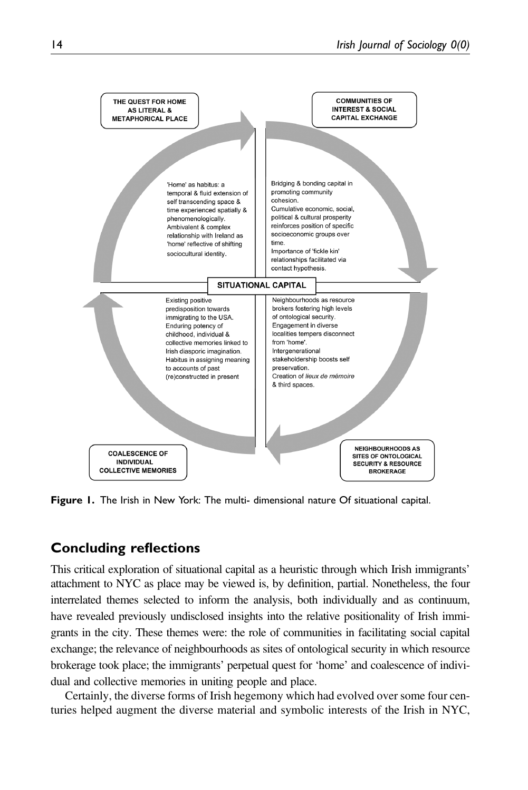

Figure 1. The Irish in New York: The multi- dimensional nature Of situational capital.

## Concluding reflections

This critical exploration of situational capital as a heuristic through which Irish immigrants' attachment to NYC as place may be viewed is, by definition, partial. Nonetheless, the four interrelated themes selected to inform the analysis, both individually and as continuum, have revealed previously undisclosed insights into the relative positionality of Irish immigrants in the city. These themes were: the role of communities in facilitating social capital exchange; the relevance of neighbourhoods as sites of ontological security in which resource brokerage took place; the immigrants' perpetual quest for 'home' and coalescence of individual and collective memories in uniting people and place.

Certainly, the diverse forms of Irish hegemony which had evolved over some four centuries helped augment the diverse material and symbolic interests of the Irish in NYC,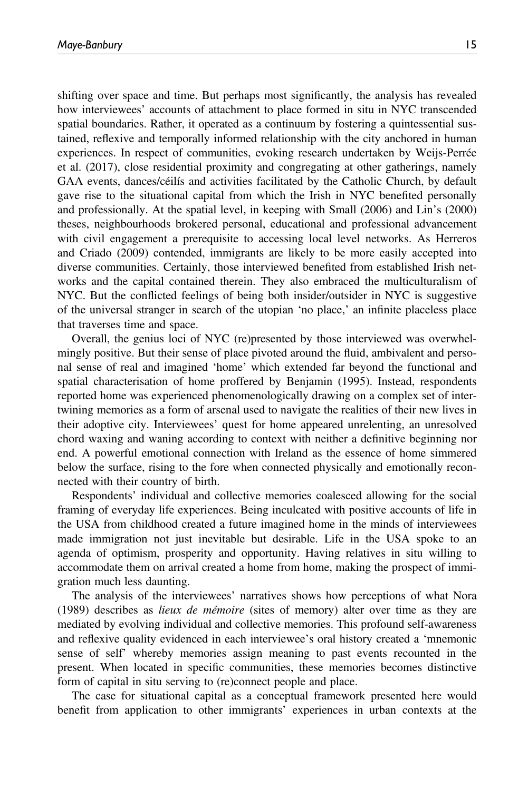shifting over space and time. But perhaps most significantly, the analysis has revealed how interviewees' accounts of attachment to place formed in situ in NYC transcended spatial boundaries. Rather, it operated as a continuum by fostering a quintessential sustained, reflexive and temporally informed relationship with the city anchored in human experiences. In respect of communities, evoking research undertaken by Weijs-Perrée et al. (2017), close residential proximity and congregating at other gatherings, namely GAA events, dances/céilís and activities facilitated by the Catholic Church, by default gave rise to the situational capital from which the Irish in NYC benefited personally and professionally. At the spatial level, in keeping with Small (2006) and Lin's (2000) theses, neighbourhoods brokered personal, educational and professional advancement with civil engagement a prerequisite to accessing local level networks. As Herreros and Criado (2009) contended, immigrants are likely to be more easily accepted into diverse communities. Certainly, those interviewed benefited from established Irish networks and the capital contained therein. They also embraced the multiculturalism of NYC. But the conflicted feelings of being both insider/outsider in NYC is suggestive of the universal stranger in search of the utopian 'no place,' an infinite placeless place that traverses time and space.

Overall, the genius loci of NYC (re)presented by those interviewed was overwhelmingly positive. But their sense of place pivoted around the fluid, ambivalent and personal sense of real and imagined 'home' which extended far beyond the functional and spatial characterisation of home proffered by Benjamin (1995). Instead, respondents reported home was experienced phenomenologically drawing on a complex set of intertwining memories as a form of arsenal used to navigate the realities of their new lives in their adoptive city. Interviewees' quest for home appeared unrelenting, an unresolved chord waxing and waning according to context with neither a definitive beginning nor end. A powerful emotional connection with Ireland as the essence of home simmered below the surface, rising to the fore when connected physically and emotionally reconnected with their country of birth.

Respondents' individual and collective memories coalesced allowing for the social framing of everyday life experiences. Being inculcated with positive accounts of life in the USA from childhood created a future imagined home in the minds of interviewees made immigration not just inevitable but desirable. Life in the USA spoke to an agenda of optimism, prosperity and opportunity. Having relatives in situ willing to accommodate them on arrival created a home from home, making the prospect of immigration much less daunting.

The analysis of the interviewees' narratives shows how perceptions of what Nora (1989) describes as lieux de mémoire (sites of memory) alter over time as they are mediated by evolving individual and collective memories. This profound self-awareness and reflexive quality evidenced in each interviewee's oral history created a 'mnemonic sense of self' whereby memories assign meaning to past events recounted in the present. When located in specific communities, these memories becomes distinctive form of capital in situ serving to (re)connect people and place.

The case for situational capital as a conceptual framework presented here would benefit from application to other immigrants' experiences in urban contexts at the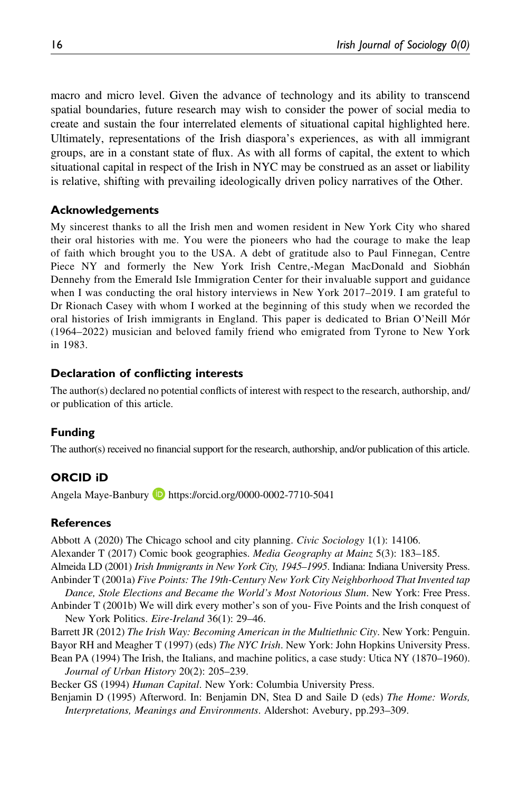macro and micro level. Given the advance of technology and its ability to transcend spatial boundaries, future research may wish to consider the power of social media to create and sustain the four interrelated elements of situational capital highlighted here. Ultimately, representations of the Irish diaspora's experiences, as with all immigrant groups, are in a constant state of flux. As with all forms of capital, the extent to which situational capital in respect of the Irish in NYC may be construed as an asset or liability is relative, shifting with prevailing ideologically driven policy narratives of the Other.

#### Acknowledgements

My sincerest thanks to all the Irish men and women resident in New York City who shared their oral histories with me. You were the pioneers who had the courage to make the leap of faith which brought you to the USA. A debt of gratitude also to Paul Finnegan, Centre Piece NY and formerly the New York Irish Centre,-Megan MacDonald and Siobhán Dennehy from the Emerald Isle Immigration Center for their invaluable support and guidance when I was conducting the oral history interviews in New York 2017–2019. I am grateful to Dr Rionach Casey with whom I worked at the beginning of this study when we recorded the oral histories of Irish immigrants in England. This paper is dedicated to Brian O'Neill Mór (1964–2022) musician and beloved family friend who emigrated from Tyrone to New York in 1983.

#### Declaration of conflicting interests

The author(s) declared no potential conflicts of interest with respect to the research, authorship, and/ or publication of this article.

#### Funding

The author(s) received no financial support for the research, authorship, and/or publication of this article.

#### ORCID iD

Angela Maye-Banbury **D** <https://orcid.org/0000-0002-7710-5041>

#### References

Abbott A (2020) The Chicago school and city planning. Civic Sociology 1(1): 14106.

Alexander T (2017) Comic book geographies. Media Geography at Mainz 5(3): 183–185.

Almeida LD (2001) Irish Immigrants in New York City, 1945–1995. Indiana: Indiana University Press. Anbinder T (2001a) Five Points: The 19th-Century New York City Neighborhood That Invented tap

Dance, Stole Elections and Became the World's Most Notorious Slum. New York: Free Press. Anbinder T (2001b) We will dirk every mother's son of you- Five Points and the Irish conquest of

New York Politics. Eire-Ireland 36(1): 29-46.

Barrett JR (2012) The Irish Way: Becoming American in the Multiethnic City. New York: Penguin.

Bayor RH and Meagher T (1997) (eds) The NYC Irish. New York: John Hopkins University Press. Bean PA (1994) The Irish, the Italians, and machine politics, a case study: Utica NY (1870–1960). Journal of Urban History 20(2): 205–239.

Becker GS (1994) Human Capital. New York: Columbia University Press.

Benjamin D (1995) Afterword. In: Benjamin DN, Stea D and Saile D (eds) The Home: Words, Interpretations, Meanings and Environments. Aldershot: Avebury, pp.293–309.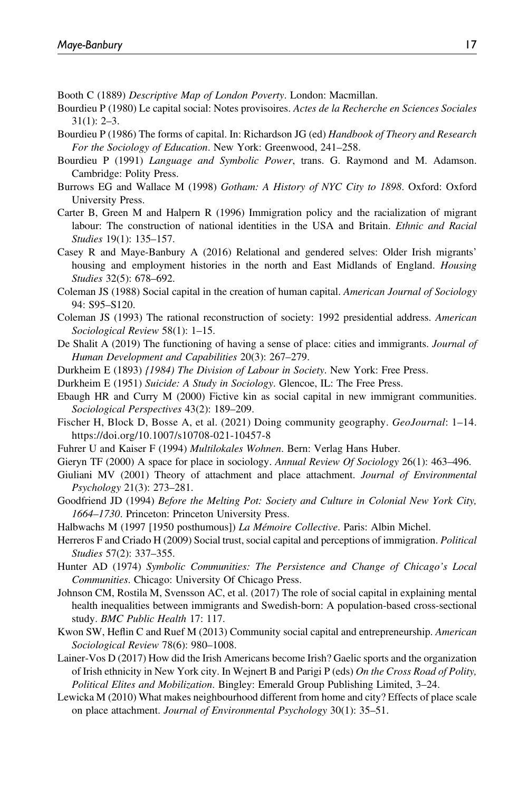- Booth C (1889) Descriptive Map of London Poverty. London: Macmillan.
- Bourdieu P (1980) Le capital social: Notes provisoires. Actes de la Recherche en Sciences Sociales 31(1): 2–3.
- Bourdieu P (1986) The forms of capital. In: Richardson JG (ed) Handbook of Theory and Research For the Sociology of Education. New York: Greenwood, 241–258.
- Bourdieu P (1991) Language and Symbolic Power, trans. G. Raymond and M. Adamson. Cambridge: Polity Press.
- Burrows EG and Wallace M (1998) Gotham: A History of NYC City to 1898. Oxford: Oxford University Press.
- Carter B, Green M and Halpern R (1996) Immigration policy and the racialization of migrant labour: The construction of national identities in the USA and Britain. *Ethnic and Racial* Studies 19(1): 135–157.
- Casey R and Maye-Banbury A (2016) Relational and gendered selves: Older Irish migrants' housing and employment histories in the north and East Midlands of England. Housing Studies 32(5): 678–692.
- Coleman JS (1988) Social capital in the creation of human capital. American Journal of Sociology 94: S95–S120.
- Coleman JS (1993) The rational reconstruction of society: 1992 presidential address. American Sociological Review 58(1): 1–15.
- De Shalit A (2019) The functioning of having a sense of place: cities and immigrants. *Journal of* Human Development and Capabilities 20(3): 267–279.
- Durkheim E (1893) {1984) The Division of Labour in Society. New York: Free Press.
- Durkheim E (1951) Suicide: A Study in Sociology. Glencoe, IL: The Free Press.
- Ebaugh HR and Curry M (2000) Fictive kin as social capital in new immigrant communities. Sociological Perspectives 43(2): 189–209.
- Fischer H, Block D, Bosse A, et al. (2021) Doing community geography. GeoJournal: 1–14. https://doi.org/10.1007/s10708-021-10457-8
- Fuhrer U and Kaiser F (1994) Multilokales Wohnen. Bern: Verlag Hans Huber.
- Gieryn TF (2000) A space for place in sociology. Annual Review Of Sociology 26(1): 463–496.
- Giuliani MV (2001) Theory of attachment and place attachment. Journal of Environmental Psychology 21(3): 273–281.
- Goodfriend JD (1994) Before the Melting Pot: Society and Culture in Colonial New York City, 1664–1730. Princeton: Princeton University Press.
- Halbwachs M (1997 [1950 posthumous]) La Mémoire Collective. Paris: Albin Michel.
- Herreros F and Criado H (2009) Social trust, social capital and perceptions of immigration. Political Studies 57(2): 337–355.
- Hunter AD (1974) Symbolic Communities: The Persistence and Change of Chicago's Local Communities. Chicago: University Of Chicago Press.
- Johnson CM, Rostila M, Svensson AC, et al. (2017) The role of social capital in explaining mental health inequalities between immigrants and Swedish-born: A population-based cross-sectional study. BMC Public Health 17: 117.
- Kwon SW, Heflin C and Ruef M (2013) Community social capital and entrepreneurship. American Sociological Review 78(6): 980–1008.
- Lainer-Vos D (2017) How did the Irish Americans become Irish? Gaelic sports and the organization of Irish ethnicity in New York city. In Wejnert B and Parigi P (eds) On the Cross Road of Polity, Political Elites and Mobilization. Bingley: Emerald Group Publishing Limited, 3–24.
- Lewicka M (2010) What makes neighbourhood different from home and city? Effects of place scale on place attachment. Journal of Environmental Psychology 30(1): 35–51.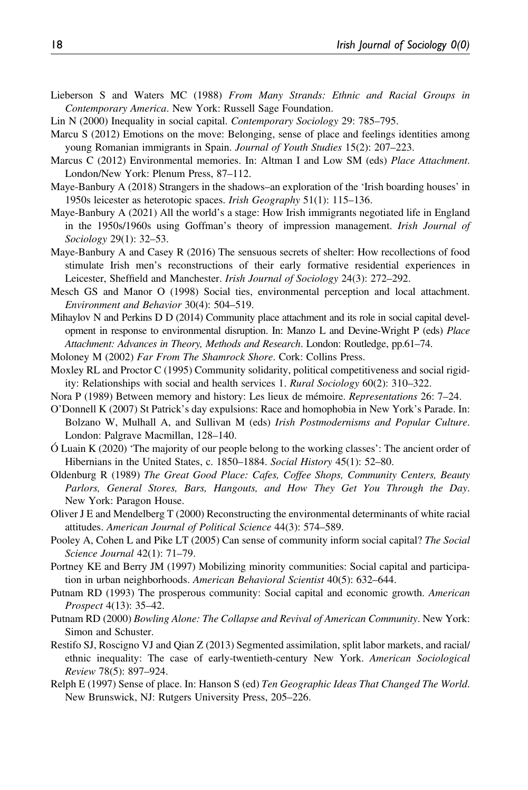- Lieberson S and Waters MC (1988) From Many Strands: Ethnic and Racial Groups in Contemporary America. New York: Russell Sage Foundation.
- Lin N (2000) Inequality in social capital. Contemporary Sociology 29: 785–795.
- Marcu S (2012) Emotions on the move: Belonging, sense of place and feelings identities among young Romanian immigrants in Spain. Journal of Youth Studies 15(2): 207-223.
- Marcus C (2012) Environmental memories. In: Altman I and Low SM (eds) Place Attachment. London/New York: Plenum Press, 87–112.
- Maye-Banbury A (2018) Strangers in the shadows–an exploration of the 'Irish boarding houses' in 1950s leicester as heterotopic spaces. *Irish Geography* 51(1): 115–136.
- Maye-Banbury A (2021) All the world's a stage: How Irish immigrants negotiated life in England in the 1950s/1960s using Goffman's theory of impression management. Irish Journal of Sociology 29(1): 32–53.
- Maye-Banbury A and Casey R (2016) The sensuous secrets of shelter: How recollections of food stimulate Irish men's reconstructions of their early formative residential experiences in Leicester, Sheffield and Manchester. Irish Journal of Sociology 24(3): 272–292.
- Mesch GS and Manor O (1998) Social ties, environmental perception and local attachment. Environment and Behavior 30(4): 504–519.
- Mihaylov N and Perkins D D (2014) Community place attachment and its role in social capital development in response to environmental disruption. In: Manzo L and Devine-Wright P (eds) Place Attachment: Advances in Theory, Methods and Research. London: Routledge, pp.61–74.
- Moloney M (2002) Far From The Shamrock Shore. Cork: Collins Press.
- Moxley RL and Proctor C (1995) Community solidarity, political competitiveness and social rigidity: Relationships with social and health services 1. Rural Sociology 60(2): 310–322.
- Nora P (1989) Between memory and history: Les lieux de mémoire. Representations 26: 7–24.
- O'Donnell K (2007) St Patrick's day expulsions: Race and homophobia in New York's Parade. In: Bolzano W, Mulhall A, and Sullivan M (eds) Irish Postmodernisms and Popular Culture. London: Palgrave Macmillan, 128–140.
- Ó Luain K (2020) 'The majority of our people belong to the working classes': The ancient order of Hibernians in the United States, c. 1850–1884. Social History 45(1): 52–80.
- Oldenburg R (1989) The Great Good Place: Cafes, Coffee Shops, Community Centers, Beauty Parlors, General Stores, Bars, Hangouts, and How They Get You Through the Day. New York: Paragon House.
- Oliver J E and Mendelberg T (2000) Reconstructing the environmental determinants of white racial attitudes. American Journal of Political Science 44(3): 574–589.
- Pooley A, Cohen L and Pike LT (2005) Can sense of community inform social capital? The Social Science Journal 42(1): 71–79.
- Portney KE and Berry JM (1997) Mobilizing minority communities: Social capital and participation in urban neighborhoods. American Behavioral Scientist 40(5): 632-644.
- Putnam RD (1993) The prosperous community: Social capital and economic growth. American Prospect 4(13): 35–42.
- Putnam RD (2000) Bowling Alone: The Collapse and Revival of American Community. New York: Simon and Schuster.
- Restifo SJ, Roscigno VJ and Qian Z (2013) Segmented assimilation, split labor markets, and racial/ ethnic inequality: The case of early-twentieth-century New York. American Sociological Review 78(5): 897–924.
- Relph E (1997) Sense of place. In: Hanson S (ed) Ten Geographic Ideas That Changed The World. New Brunswick, NJ: Rutgers University Press, 205–226.